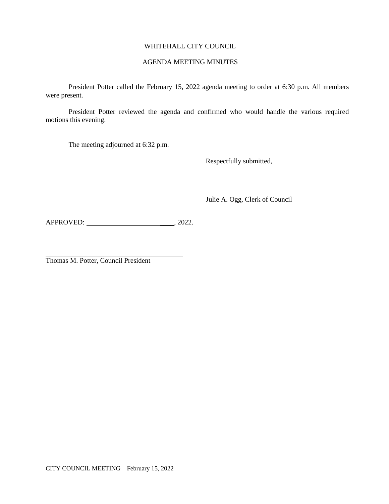# WHITEHALL CITY COUNCIL

# AGENDA MEETING MINUTES

President Potter called the February 15, 2022 agenda meeting to order at 6:30 p.m. All members were present.

President Potter reviewed the agenda and confirmed who would handle the various required motions this evening.

The meeting adjourned at 6:32 p.m.

Respectfully submitted,

Julie A. Ogg, Clerk of Council

APPROVED: \_\_\_\_, 2022.

Thomas M. Potter, Council President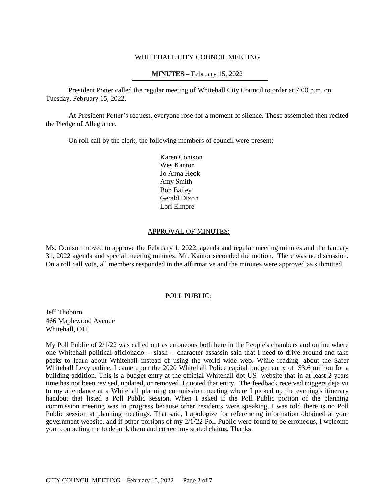# WHITEHALL CITY COUNCIL MEETING

# **MINUTES –** February 15, 2022

President Potter called the regular meeting of Whitehall City Council to order at 7:00 p.m. on Tuesday, February 15, 2022.

At President Potter's request, everyone rose for a moment of silence. Those assembled then recited the Pledge of Allegiance.

On roll call by the clerk, the following members of council were present:

Karen Conison Wes Kantor Jo Anna Heck Amy Smith Bob Bailey Gerald Dixon Lori Elmore

# APPROVAL OF MINUTES:

Ms. Conison moved to approve the February 1, 2022, agenda and regular meeting minutes and the January 31, 2022 agenda and special meeting minutes. Mr. Kantor seconded the motion. There was no discussion. On a roll call vote, all members responded in the affirmative and the minutes were approved as submitted.

## POLL PUBLIC:

Jeff Thoburn 466 Maplewood Avenue Whitehall, OH

My Poll Public of 2/1/22 was called out as erroneous both here in the People's chambers and online where one Whitehall political aficionado -- slash -- character assassin said that I need to drive around and take peeks to learn about Whitehall instead of using the world wide web. While reading about the Safer Whitehall Levy online, I came upon the 2020 Whitehall Police capital budget entry of \$3.6 million for a building addition. This is a budget entry at the official Whitehall dot US website that in at least 2 years time has not been revised, updated, or removed. I quoted that entry. The feedback received triggers deja vu to my attendance at a Whitehall planning commission meeting where I picked up the evening's itinerary handout that listed a Poll Public session. When I asked if the Poll Public portion of the planning commission meeting was in progress because other residents were speaking, I was told there is no Poll Public session at planning meetings. That said, I apologize for referencing information obtained at your government website, and if other portions of my 2/1/22 Poll Public were found to be erroneous, I welcome your contacting me to debunk them and correct my stated claims. Thanks.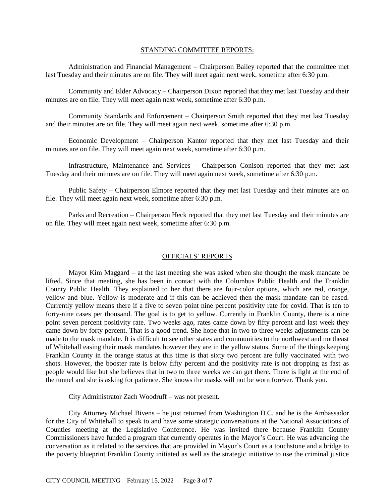#### STANDING COMMITTEE REPORTS:

Administration and Financial Management – Chairperson Bailey reported that the committee met last Tuesday and their minutes are on file. They will meet again next week, sometime after 6:30 p.m.

Community and Elder Advocacy – Chairperson Dixon reported that they met last Tuesday and their minutes are on file. They will meet again next week, sometime after 6:30 p.m.

Community Standards and Enforcement – Chairperson Smith reported that they met last Tuesday and their minutes are on file. They will meet again next week, sometime after 6:30 p.m.

Economic Development – Chairperson Kantor reported that they met last Tuesday and their minutes are on file. They will meet again next week, sometime after 6:30 p.m.

Infrastructure, Maintenance and Services – Chairperson Conison reported that they met last Tuesday and their minutes are on file. They will meet again next week, sometime after 6:30 p.m.

Public Safety – Chairperson Elmore reported that they met last Tuesday and their minutes are on file. They will meet again next week, sometime after 6:30 p.m.

Parks and Recreation – Chairperson Heck reported that they met last Tuesday and their minutes are on file. They will meet again next week, sometime after 6:30 p.m.

#### OFFICIALS' REPORTS

Mayor Kim Maggard – at the last meeting she was asked when she thought the mask mandate be lifted. Since that meeting, she has been in contact with the Columbus Public Health and the Franklin County Public Health. They explained to her that there are four-color options, which are red, orange, yellow and blue. Yellow is moderate and if this can be achieved then the mask mandate can be eased. Currently yellow means there if a five to seven point nine percent positivity rate for covid. That is ten to forty-nine cases per thousand. The goal is to get to yellow. Currently in Franklin County, there is a nine point seven percent positivity rate. Two weeks ago, rates came down by fifty percent and last week they came down by forty percent. That is a good trend. She hope that in two to three weeks adjustments can be made to the mask mandate. It is difficult to see other states and communities to the northwest and northeast of Whitehall easing their mask mandates however they are in the yellow status. Some of the things keeping Franklin County in the orange status at this time is that sixty two percent are fully vaccinated with two shots. However, the booster rate is below fifty percent and the positivity rate is not dropping as fast as people would like but she believes that in two to three weeks we can get there. There is light at the end of the tunnel and she is asking for patience. She knows the masks will not be worn forever. Thank you.

City Administrator Zach Woodruff – was not present.

City Attorney Michael Bivens – he just returned from Washington D.C. and he is the Ambassador for the City of Whitehall to speak to and have some strategic conversations at the National Associations of Counties meeting at the Legislative Conference. He was invited there because Franklin County Commissioners have funded a program that currently operates in the Mayor's Court. He was advancing the conversation as it related to the services that are provided in Mayor's Court as a touchstone and a bridge to the poverty blueprint Franklin County initiated as well as the strategic initiative to use the criminal justice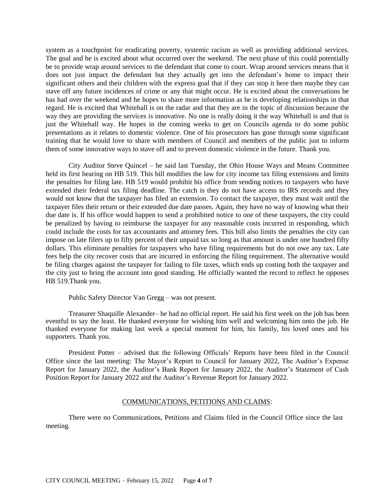system as a touchpoint for eradicating poverty, systemic racism as well as providing additional services. The goal and he is excited about what occurred over the weekend. The next phase of this could potentially be to provide wrap around services to the defendant that come to court. Wrap around services means that it does not just impact the defendant but they actually get into the defendant's home to impact their significant others and their children with the express goal that if they can stop it here then maybe they can stave off any future incidences of crime or any that might occur. He is excited about the conversations he has had over the weekend and he hopes to share more information as he is developing relationships in that regard. He is excited that Whitehall is on the radar and that they are in the topic of discussion because the way they are providing the services is innovative. No one is really doing it the way Whitehall is and that is just the Whitehall way. He hopes in the coming weeks to get on Councils agenda to do some public presentations as it relates to domestic violence. One of his prosecutors has gone through some significant training that he would love to share with members of Council and members of the public just to inform them of some innovative ways to stave off and to prevent domestic violence in the future. Thank you.

City Auditor Steve Quincel – he said last Tuesday, the Ohio House Ways and Means Committee held its first hearing on HB 519. This bill modifies the law for city income tax filing extensions and limits the penalties for filing late. HB 519 would prohibit his office from sending notices to taxpayers who have extended their federal tax filing deadline. The catch is they do not have access to IRS records and they would not know that the taxpayer has filed an extension. To contact the taxpayer, they must wait until the taxpayer files their return or their extended due date passes. Again, they have no way of knowing what their due date is. If his office would happen to send a prohibited notice to one of these taxpayers, the city could be penalized by having to reimburse the taxpayer for any reasonable costs incurred in responding, which could include the costs for tax accountants and attorney fees. This bill also limits the penalties the city can impose on late filers up to fifty percent of their unpaid tax so long as that amount is under one hundred fifty dollars. This eliminate penalties for taxpayers who have filing requirements but do not owe any tax. Late fees help the city recover costs that are incurred in enforcing the filing requirement. The alternative would be filing charges against the taxpayer for failing to file taxes, which ends up costing both the taxpayer and the city just to bring the account into good standing. He officially wanted the record to reflect he opposes HB 519.Thank you.

Public Safety Director Van Gregg – was not present.

Treasurer Shaquille Alexander– he had no official report. He said his first week on the job has been eventful to say the least. He thanked everyone for wishing him well and welcoming him onto the job. He thanked everyone for making last week a special moment for him, his family, his loved ones and his supporters. Thank you.

President Potter – advised that the following Officials' Reports have been filed in the Council Office since the last meeting: The Mayor's Report to Council for January 2022, The Auditor's Expense Report for January 2022, the Auditor's Bank Report for January 2022, the Auditor's Statement of Cash Position Report for January 2022 and the Auditor's Revenue Report for January 2022.

# COMMUNICATIONS, PETITIONS AND CLAIMS:

There were no Communications, Petitions and Claims filed in the Council Office since the last meeting.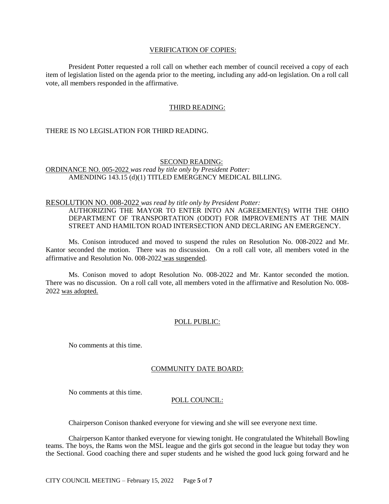#### VERIFICATION OF COPIES:

President Potter requested a roll call on whether each member of council received a copy of each item of legislation listed on the agenda prior to the meeting, including any add-on legislation. On a roll call vote, all members responded in the affirmative.

## THIRD READING:

## THERE IS NO LEGISLATION FOR THIRD READING.

# SECOND READING: ORDINANCE NO. 005-2022 *was read by title only by President Potter:* AMENDING 143.15 (d)(1) TITLED EMERGENCY MEDICAL BILLING.

### RESOLUTION NO. 008-2022 *was read by title only by President Potter:*

AUTHORIZING THE MAYOR TO ENTER INTO AN AGREEMENT(S) WITH THE OHIO DEPARTMENT OF TRANSPORTATION (ODOT) FOR IMPROVEMENTS AT THE MAIN STREET AND HAMILTON ROAD INTERSECTION AND DECLARING AN EMERGENCY.

Ms. Conison introduced and moved to suspend the rules on Resolution No. 008-2022 and Mr. Kantor seconded the motion. There was no discussion. On a roll call vote, all members voted in the affirmative and Resolution No. 008-2022 was suspended.

Ms. Conison moved to adopt Resolution No. 008-2022 and Mr. Kantor seconded the motion. There was no discussion. On a roll call vote, all members voted in the affirmative and Resolution No. 008- 2022 was adopted.

### POLL PUBLIC:

No comments at this time.

## COMMUNITY DATE BOARD:

No comments at this time.

#### POLL COUNCIL:

Chairperson Conison thanked everyone for viewing and she will see everyone next time.

Chairperson Kantor thanked everyone for viewing tonight. He congratulated the Whitehall Bowling teams. The boys, the Rams won the MSL league and the girls got second in the league but today they won the Sectional. Good coaching there and super students and he wished the good luck going forward and he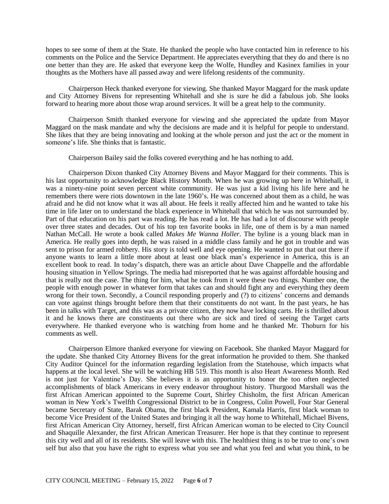hopes to see some of them at the State. He thanked the people who have contacted him in reference to his comments on the Police and the Service Department. He appreciates everything that they do and there is no one better than they are. He asked that everyone keep the Wolfe, Hundley and Kasinex families in your thoughts as the Mothers have all passed away and were lifelong residents of the community.

Chairperson Heck thanked everyone for viewing. She thanked Mayor Maggard for the mask update and City Attorney Bivens for representing Whitehall and she is sure he did a fabulous job. She looks forward to hearing more about those wrap around services. It will be a great help to the community.

Chairperson Smith thanked everyone for viewing and she appreciated the update from Mayor Maggard on the mask mandate and why the decisions are made and it is helpful for people to understand. She likes that they are being innovating and looking at the whole person and just the act or the moment in someone's life. She thinks that is fantastic.

Chairperson Bailey said the folks covered everything and he has nothing to add.

Chairperson Dixon thanked City Attorney Bivens and Mayor Maggard for their comments. This is his last opportunity to acknowledge Black History Month. When he was growing up here in Whitehall, it was a ninety-nine point seven percent white community. He was just a kid living his life here and he remembers there were riots downtown in the late 1960's. He was concerned about them as a child, he was afraid and he did not know what it was all about. He feels it really affected him and he wanted to take his time in life later on to understand the black experience in Whitehall that which he was not surrounded by. Part of that education on his part was reading. He has read a lot. He has had a lot of discourse with people over three states and decades. Out of his top ten favorite books in life, one of them is by a man named Nathan McCall. He wrote a book called *Makes Me Wanna Holler*. The byline is a young black man in America. He really goes into depth, he was raised in a middle class family and he got in trouble and was sent to prison for armed robbery. His story is told well and eye opening. He wanted to put that out there if anyone wants to learn a little more about at least one black man's experience in America, this is an excellent book to read. In today's dispatch, there was an article about Dave Chappelle and the affordable housing situation in Yellow Springs. The media had misreported that he was against affordable housing and that is really not the case. The thing for him, what he took from it were these two things. Number one, the people with enough power in whatever form that takes can and should fight any and everything they deem wrong for their town. Secondly, a Council responding properly and (?) to citizens' concerns and demands can vote against things brought before them that their constituents do not want. In the past years, he has been in talks with Target, and this was as a private citizen, they now have locking carts. He is thrilled about it and he knows there are constituents out there who are sick and tired of seeing the Target carts everywhere. He thanked everyone who is watching from home and he thanked Mr. Thoburn for his comments as well.

Chairperson Elmore thanked everyone for viewing on Facebook. She thanked Mayor Maggard for the update. She thanked City Attorney Bivens for the great information he provided to them. She thanked City Auditor Quincel for the information regarding legislation from the Statehouse, which impacts what happens at the local level. She will be watching HB 519. This month is also Heart Awareness Month. Red is not just for Valentine's Day. She believes it is an opportunity to honor the too often neglected accomplishments of black Americans in every endeavor throughout history. Thurgood Marshall was the first African American appointed to the Supreme Court, Shirley Chisholm, the first African American woman in New York's Twelfth Congressional District to be in Congress, Colin Powell, Four Star General became Secretary of State, Barak Obama, the first black President, Kamala Harris, first black woman to become Vice President of the United States and bringing it all the way home to Whitehall, Michael Bivens, first African American City Attorney, herself, first African American woman to be elected to City Council and Shaquille Alexander, the first African American Treasurer. Her hope is that they continue to represent this city well and all of its residents. She will leave with this. The healthiest thing is to be true to one's own self but also that you have the right to express what you see and what you feel and what you think, to be